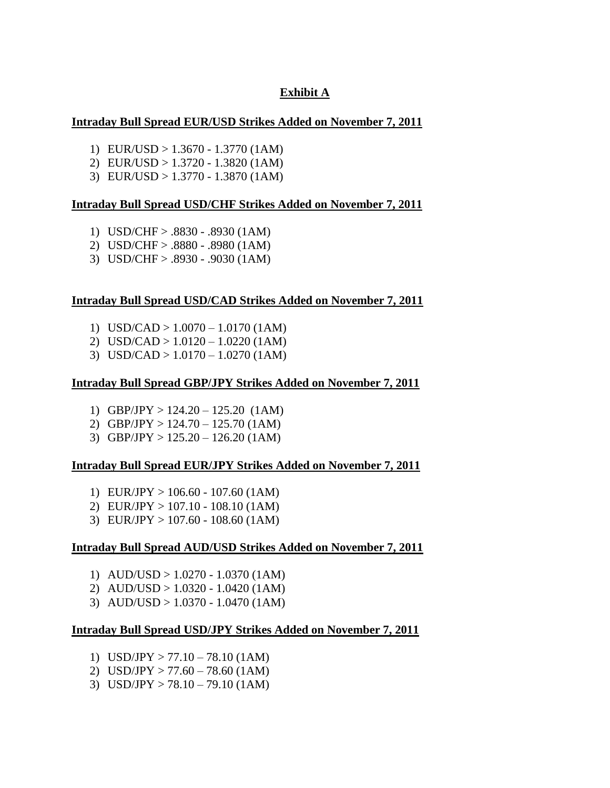## **Exhibit A**

#### **Intraday Bull Spread EUR/USD Strikes Added on November 7, 2011**

- 1) EUR/USD > 1.3670 1.3770 (1AM)
- 2) EUR/USD > 1.3720 1.3820 (1AM)
- 3) EUR/USD > 1.3770 1.3870 (1AM)

#### **Intraday Bull Spread USD/CHF Strikes Added on November 7, 2011**

- 1) USD/CHF > .8830 .8930 (1AM)
- 2) USD/CHF > .8880 .8980 (1AM)
- 3) USD/CHF > .8930 .9030 (1AM)

## **Intraday Bull Spread USD/CAD Strikes Added on November 7, 2011**

- 1) USD/CAD > 1.0070 1.0170 (1AM)
- 2) USD/CAD > 1.0120 1.0220 (1AM)
- 3) USD/CAD > 1.0170 1.0270 (1AM)

#### **Intraday Bull Spread GBP/JPY Strikes Added on November 7, 2011**

- 1) GBP/JPY > 124.20 125.20 (1AM)
- 2) GBP/JPY > 124.70 125.70 (1AM)
- 3) GBP/JPY > 125.20 126.20 (1AM)

#### **Intraday Bull Spread EUR/JPY Strikes Added on November 7, 2011**

- 1) EUR/JPY > 106.60 107.60 (1AM)
- 2) EUR/JPY > 107.10 108.10 (1AM)
- 3) EUR/JPY > 107.60 108.60 (1AM)

#### **Intraday Bull Spread AUD/USD Strikes Added on November 7, 2011**

- 1) AUD/USD > 1.0270 1.0370 (1AM)
- 2) AUD/USD > 1.0320 1.0420 (1AM)
- 3) AUD/USD > 1.0370 1.0470 (1AM)

#### **Intraday Bull Spread USD/JPY Strikes Added on November 7, 2011**

- 1) USD/JPY > 77.10 78.10 (1AM)
- 2) USD/JPY  $> 77.60 78.60$  (1AM)
- 3) USD/JPY > 78.10 79.10 (1AM)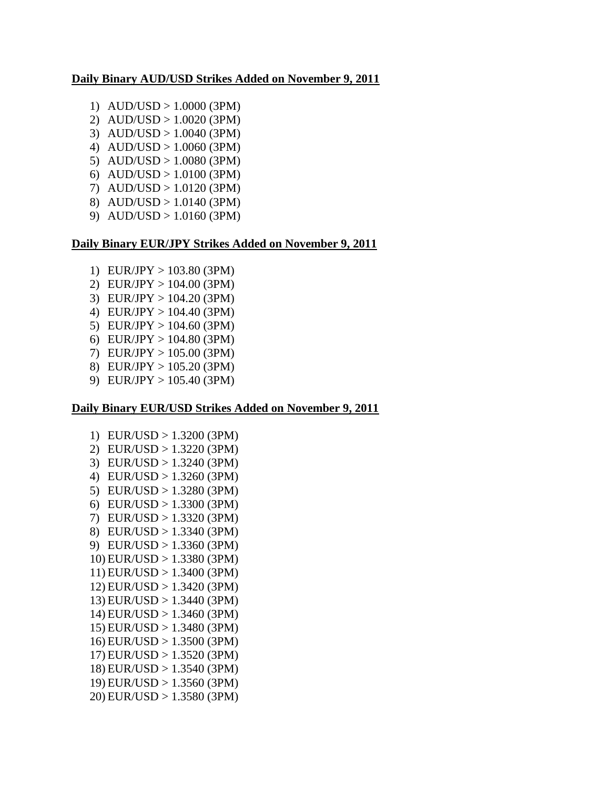## **Daily Binary AUD/USD Strikes Added on November 9, 2011**

- 1)  $AUD/USD > 1.0000 (3PM)$
- 2) AUD/USD > 1.0020 (3PM)
- 3) AUD/USD > 1.0040 (3PM)
- 4) AUD/USD > 1.0060 (3PM)
- 5) AUD/USD > 1.0080 (3PM)
- 6) AUD/USD > 1.0100 (3PM)
- 7) AUD/USD > 1.0120 (3PM)
- 8) AUD/USD > 1.0140 (3PM) 9) AUD/USD > 1.0160 (3PM)

# **Daily Binary EUR/JPY Strikes Added on November 9, 2011**

- 1) EUR/JPY > 103.80 (3PM)
- 2) EUR/JPY > 104.00 (3PM)
- 3) EUR/JPY > 104.20 (3PM)
- 4) EUR/JPY > 104.40 (3PM)
- 5) EUR/JPY > 104.60 (3PM)
- 6) EUR/JPY > 104.80 (3PM)
- 7) EUR/JPY > 105.00 (3PM)
- 8) EUR/JPY > 105.20 (3PM)
- 9) EUR/JPY > 105.40 (3PM)

## **Daily Binary EUR/USD Strikes Added on November 9, 2011**

1) EUR/USD > 1.3200 (3PM) 2) EUR/USD > 1.3220 (3PM) 3) EUR/USD > 1.3240 (3PM) 4) EUR/USD > 1.3260 (3PM) 5) EUR/USD > 1.3280 (3PM) 6) EUR/USD > 1.3300 (3PM) 7) EUR/USD > 1.3320 (3PM) 8) EUR/USD > 1.3340 (3PM) 9) EUR/USD > 1.3360 (3PM) 10) EUR/USD > 1.3380 (3PM) 11) EUR/USD > 1.3400 (3PM) 12) EUR/USD > 1.3420 (3PM) 13) EUR/USD > 1.3440 (3PM) 14) EUR/USD > 1.3460 (3PM) 15) EUR/USD > 1.3480 (3PM) 16) EUR/USD > 1.3500 (3PM) 17) EUR/USD > 1.3520 (3PM) 18) EUR/USD > 1.3540 (3PM) 19) EUR/USD > 1.3560 (3PM) 20) EUR/USD > 1.3580 (3PM)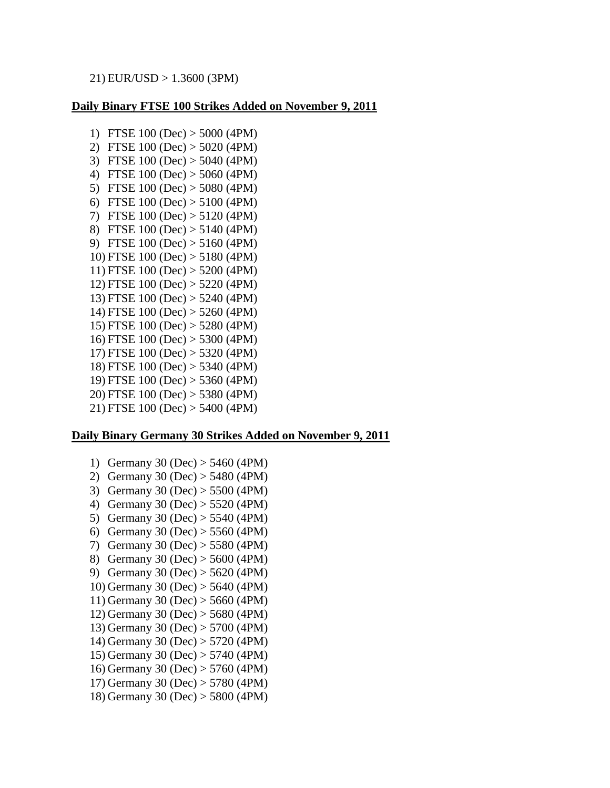## 21) EUR/USD > 1.3600 (3PM)

## **Daily Binary FTSE 100 Strikes Added on November 9, 2011**

1) FTSE 100 (Dec) > 5000 (4PM) 2) FTSE 100 (Dec) > 5020 (4PM) 3) FTSE 100 (Dec) > 5040 (4PM) 4) FTSE 100 (Dec) > 5060 (4PM) 5) FTSE 100 (Dec) > 5080 (4PM) 6) FTSE 100 (Dec) > 5100 (4PM) 7) FTSE 100 (Dec) > 5120 (4PM) 8) FTSE 100 (Dec) > 5140 (4PM) 9) FTSE 100 (Dec) > 5160 (4PM) 10) FTSE 100 (Dec) > 5180 (4PM) 11) FTSE 100 (Dec) > 5200 (4PM) 12) FTSE 100 (Dec) > 5220 (4PM) 13) FTSE 100 (Dec) > 5240 (4PM) 14) FTSE 100 (Dec) > 5260 (4PM) 15) FTSE 100 (Dec) > 5280 (4PM) 16) FTSE 100 (Dec) > 5300 (4PM) 17) FTSE 100 (Dec) > 5320 (4PM) 18) FTSE 100 (Dec) > 5340 (4PM) 19) FTSE 100 (Dec) > 5360 (4PM) 20) FTSE 100 (Dec) > 5380 (4PM) 21) FTSE 100 (Dec) > 5400 (4PM)

## **Daily Binary Germany 30 Strikes Added on November 9, 2011**

- 1) Germany 30 (Dec) > 5460 (4PM)
- 2) Germany 30 (Dec) > 5480 (4PM)
- 3) Germany 30 (Dec) > 5500 (4PM)
- 4) Germany 30 (Dec) > 5520 (4PM)
- 5) Germany 30 (Dec) > 5540 (4PM)
- 6) Germany 30 (Dec) > 5560 (4PM)
- 7) Germany 30 (Dec) > 5580 (4PM)
- 8) Germany 30 (Dec) > 5600 (4PM)
- 9) Germany 30 (Dec) > 5620 (4PM)
- 10) Germany 30 (Dec) > 5640 (4PM)
- 11) Germany 30 (Dec) > 5660 (4PM)
- 12) Germany 30 (Dec) > 5680 (4PM)
- 13) Germany 30 (Dec) > 5700 (4PM)
- 14) Germany 30 (Dec) > 5720 (4PM)
- 15) Germany 30 (Dec) > 5740 (4PM)
- 16) Germany 30 (Dec) > 5760 (4PM)
- 17) Germany 30 (Dec) > 5780 (4PM)
- 18) Germany 30 (Dec) > 5800 (4PM)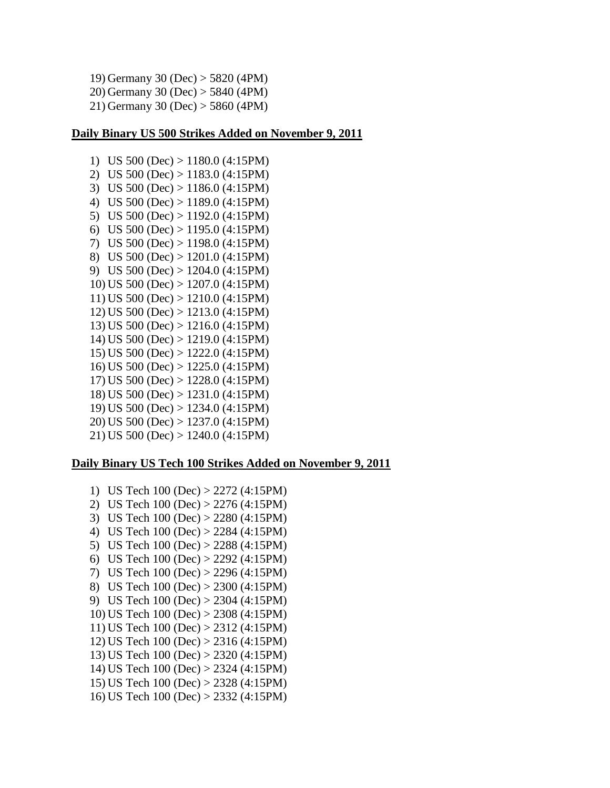```
19) Germany 30 (Dec) > 5820 (4PM)
20) Germany 30 (Dec) > 5840 (4PM)
21) Germany 30 (Dec) > 5860 (4PM)
```
#### **Daily Binary US 500 Strikes Added on November 9, 2011**

1) US 500 (Dec) > 1180.0 (4:15PM) 2) US 500 (Dec) > 1183.0 (4:15PM) 3) US 500 (Dec) > 1186.0 (4:15PM) 4) US 500 (Dec) > 1189.0 (4:15PM) 5) US 500 (Dec) > 1192.0 (4:15PM) 6) US 500 (Dec) > 1195.0 (4:15PM) 7) US 500 (Dec) > 1198.0 (4:15PM) 8) US 500 (Dec) > 1201.0 (4:15PM) 9) US 500 (Dec) > 1204.0 (4:15PM) 10) US 500 (Dec) > 1207.0 (4:15PM) 11) US 500 (Dec) > 1210.0 (4:15PM) 12) US 500 (Dec) > 1213.0 (4:15PM) 13) US 500 (Dec) > 1216.0 (4:15PM) 14) US 500 (Dec) > 1219.0 (4:15PM) 15) US 500 (Dec) > 1222.0 (4:15PM) 16) US 500 (Dec) > 1225.0 (4:15PM) 17) US 500 (Dec) > 1228.0 (4:15PM) 18) US 500 (Dec) > 1231.0 (4:15PM) 19) US 500 (Dec) > 1234.0 (4:15PM) 20) US 500 (Dec) > 1237.0 (4:15PM) 21) US 500 (Dec) > 1240.0 (4:15PM)

## **Daily Binary US Tech 100 Strikes Added on November 9, 2011**

1) US Tech 100 (Dec) > 2272 (4:15PM) 2) US Tech 100 (Dec) > 2276 (4:15PM) 3) US Tech 100 (Dec) > 2280 (4:15PM) 4) US Tech 100 (Dec) > 2284 (4:15PM) 5) US Tech 100 (Dec) > 2288 (4:15PM) 6) US Tech 100 (Dec) > 2292 (4:15PM) 7) US Tech 100 (Dec) > 2296 (4:15PM) 8) US Tech 100 (Dec) > 2300 (4:15PM) 9) US Tech 100 (Dec) > 2304 (4:15PM) 10) US Tech 100 (Dec) > 2308 (4:15PM) 11) US Tech 100 (Dec) > 2312 (4:15PM) 12) US Tech 100 (Dec) > 2316 (4:15PM) 13) US Tech 100 (Dec) > 2320 (4:15PM) 14) US Tech 100 (Dec) > 2324 (4:15PM) 15) US Tech 100 (Dec) > 2328 (4:15PM) 16) US Tech 100 (Dec) > 2332 (4:15PM)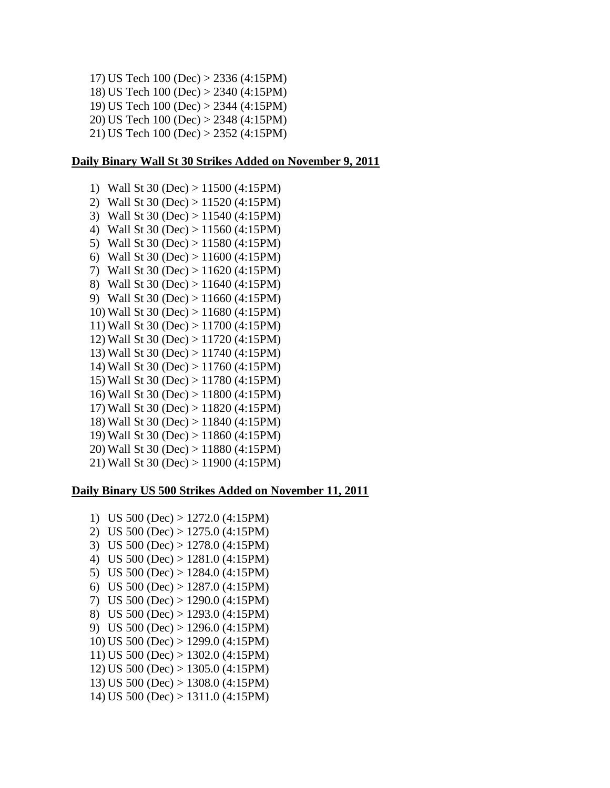17) US Tech 100 (Dec) > 2336 (4:15PM) 18) US Tech 100 (Dec) > 2340 (4:15PM) 19) US Tech 100 (Dec) > 2344 (4:15PM) 20) US Tech 100 (Dec) > 2348 (4:15PM) 21) US Tech 100 (Dec) > 2352 (4:15PM)

#### **Daily Binary Wall St 30 Strikes Added on November 9, 2011**

1) Wall St 30 (Dec) > 11500 (4:15PM) 2) Wall St 30 (Dec) > 11520 (4:15PM) 3) Wall St 30 (Dec) > 11540 (4:15PM) 4) Wall St 30 (Dec) > 11560 (4:15PM) 5) Wall St 30 (Dec) > 11580 (4:15PM) 6) Wall St 30 (Dec) > 11600 (4:15PM) 7) Wall St 30 (Dec) > 11620 (4:15PM) 8) Wall St 30 (Dec) > 11640 (4:15PM) 9) Wall St 30 (Dec) > 11660 (4:15PM) 10) Wall St 30 (Dec) > 11680 (4:15PM) 11) Wall St 30 (Dec) > 11700 (4:15PM) 12) Wall St 30 (Dec) > 11720 (4:15PM) 13) Wall St 30 (Dec) > 11740 (4:15PM) 14) Wall St 30 (Dec) > 11760 (4:15PM) 15) Wall St 30 (Dec) > 11780 (4:15PM) 16) Wall St 30 (Dec) > 11800 (4:15PM) 17) Wall St 30 (Dec) > 11820 (4:15PM) 18) Wall St 30 (Dec) > 11840 (4:15PM) 19) Wall St 30 (Dec) > 11860 (4:15PM) 20) Wall St 30 (Dec) > 11880 (4:15PM) 21) Wall St 30 (Dec) > 11900 (4:15PM)

## **Daily Binary US 500 Strikes Added on November 11, 2011**

1) US 500 (Dec) > 1272.0 (4:15PM) 2) US 500 (Dec) > 1275.0 (4:15PM) 3) US 500 (Dec) > 1278.0 (4:15PM) 4) US 500 (Dec) > 1281.0 (4:15PM) 5) US 500 (Dec) > 1284.0 (4:15PM) 6) US  $500$  (Dec)  $> 1287.0$  (4:15PM) 7) US 500 (Dec) > 1290.0 (4:15PM) 8) US 500 (Dec) > 1293.0 (4:15PM) 9) US 500 (Dec) > 1296.0 (4:15PM) 10) US 500 (Dec) > 1299.0 (4:15PM) 11) US 500 (Dec) > 1302.0 (4:15PM) 12) US 500 (Dec) > 1305.0 (4:15PM) 13) US 500 (Dec) > 1308.0 (4:15PM) 14) US 500 (Dec) > 1311.0 (4:15PM)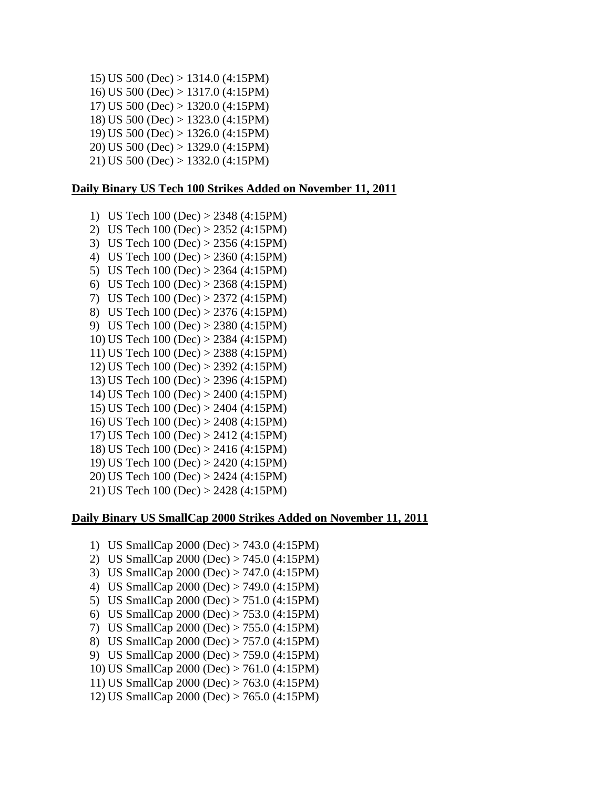15) US 500 (Dec) > 1314.0 (4:15PM) 16) US 500 (Dec) > 1317.0 (4:15PM) 17) US 500 (Dec) > 1320.0 (4:15PM) 18) US 500 (Dec) > 1323.0 (4:15PM) 19) US 500 (Dec) > 1326.0 (4:15PM) 20) US 500 (Dec) > 1329.0 (4:15PM) 21) US 500 (Dec) > 1332.0 (4:15PM)

## **Daily Binary US Tech 100 Strikes Added on November 11, 2011**

1) US Tech 100 (Dec) > 2348 (4:15PM) 2) US Tech 100 (Dec) > 2352 (4:15PM) 3) US Tech 100 (Dec) > 2356 (4:15PM) 4) US Tech 100 (Dec) > 2360 (4:15PM) 5) US Tech 100 (Dec) > 2364 (4:15PM) 6) US Tech 100 (Dec) > 2368 (4:15PM) 7) US Tech 100 (Dec) > 2372 (4:15PM) 8) US Tech 100 (Dec) > 2376 (4:15PM) 9) US Tech 100 (Dec) > 2380 (4:15PM) 10) US Tech 100 (Dec) > 2384 (4:15PM) 11) US Tech 100 (Dec) > 2388 (4:15PM) 12) US Tech 100 (Dec) > 2392 (4:15PM) 13) US Tech 100 (Dec) > 2396 (4:15PM) 14) US Tech 100 (Dec) > 2400 (4:15PM) 15) US Tech 100 (Dec) > 2404 (4:15PM) 16) US Tech 100 (Dec) > 2408 (4:15PM) 17) US Tech 100 (Dec) > 2412 (4:15PM) 18) US Tech 100 (Dec) > 2416 (4:15PM) 19) US Tech 100 (Dec) > 2420 (4:15PM) 20) US Tech 100 (Dec) > 2424 (4:15PM) 21) US Tech 100 (Dec) > 2428 (4:15PM)

## **Daily Binary US SmallCap 2000 Strikes Added on November 11, 2011**

- 1) US SmallCap 2000 (Dec) > 743.0 (4:15PM)
- 2) US SmallCap 2000 (Dec) > 745.0 (4:15PM)
- 3) US SmallCap 2000 (Dec) > 747.0 (4:15PM)
- 4) US SmallCap 2000 (Dec) > 749.0 (4:15PM)
- 5) US SmallCap 2000 (Dec) > 751.0 (4:15PM)
- 6) US SmallCap 2000 (Dec) > 753.0 (4:15PM)
- 7) US SmallCap 2000 (Dec) > 755.0 (4:15PM)
- 8) US SmallCap 2000 (Dec) > 757.0 (4:15PM)
- 9) US SmallCap 2000 (Dec) > 759.0 (4:15PM)
- 10) US SmallCap 2000 (Dec) > 761.0 (4:15PM)
- 11) US SmallCap 2000 (Dec) > 763.0 (4:15PM)
- 12) US SmallCap 2000 (Dec) > 765.0 (4:15PM)